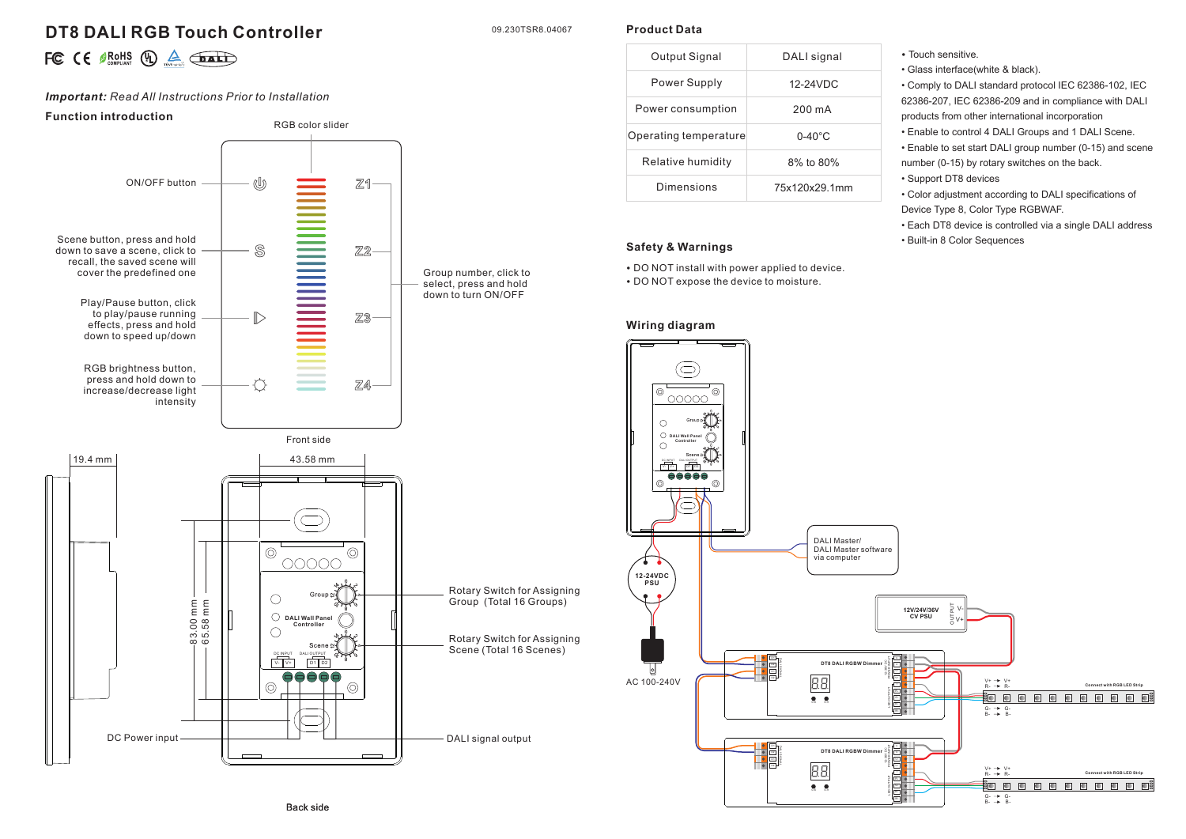# **DT8 DALI RGB Touch Controller**

09.230TSR8.04067

**Product Data**

|  |  |  |  |  | $\therefore$ $\in$ $\theta$ ROHS $\bigoplus$ $\bigoplus_{\text{non-odd}}$ $\bigoplus$ |
|--|--|--|--|--|---------------------------------------------------------------------------------------|
|--|--|--|--|--|---------------------------------------------------------------------------------------|

## *Important: Read All Instructions Prior to Installation*

## **Function introduction**



| Output Signal         | DALI signal        |
|-----------------------|--------------------|
| Power Supply          | 12-24VDC           |
| Power consumption     | 200 mA             |
| Operating temperature | $0 - 40^{\circ}$ C |
| Relative humidity     | 8% to 80%          |
| Dimensions            | 75x120x29.1mm      |

#### **Safety & Warnings**

• DO NOT install with power applied to device.

• DO NOT expose the device to moisture.

## **Wiring diagram**

• Touch sensitive.

• Glass interface(white & black).

• Comply to DALI standard protocol IEC 62386-102, IEC 62386-207, IEC 62386-209 and in compliance with DALI products from other international incorporation

• Enable to control 4 DALI Groups and 1 DALI Scene.

• Enable to set start DALI group number (0-15) and scene number (0-15) by rotary switches on the back.

• Support DT8 devices

• Color adjustment according to DALI specifications of Device Type 8, Color Type RGBWAF.

• Each DT8 device is controlled via a single DALI address • Built-in 8 Color Sequences